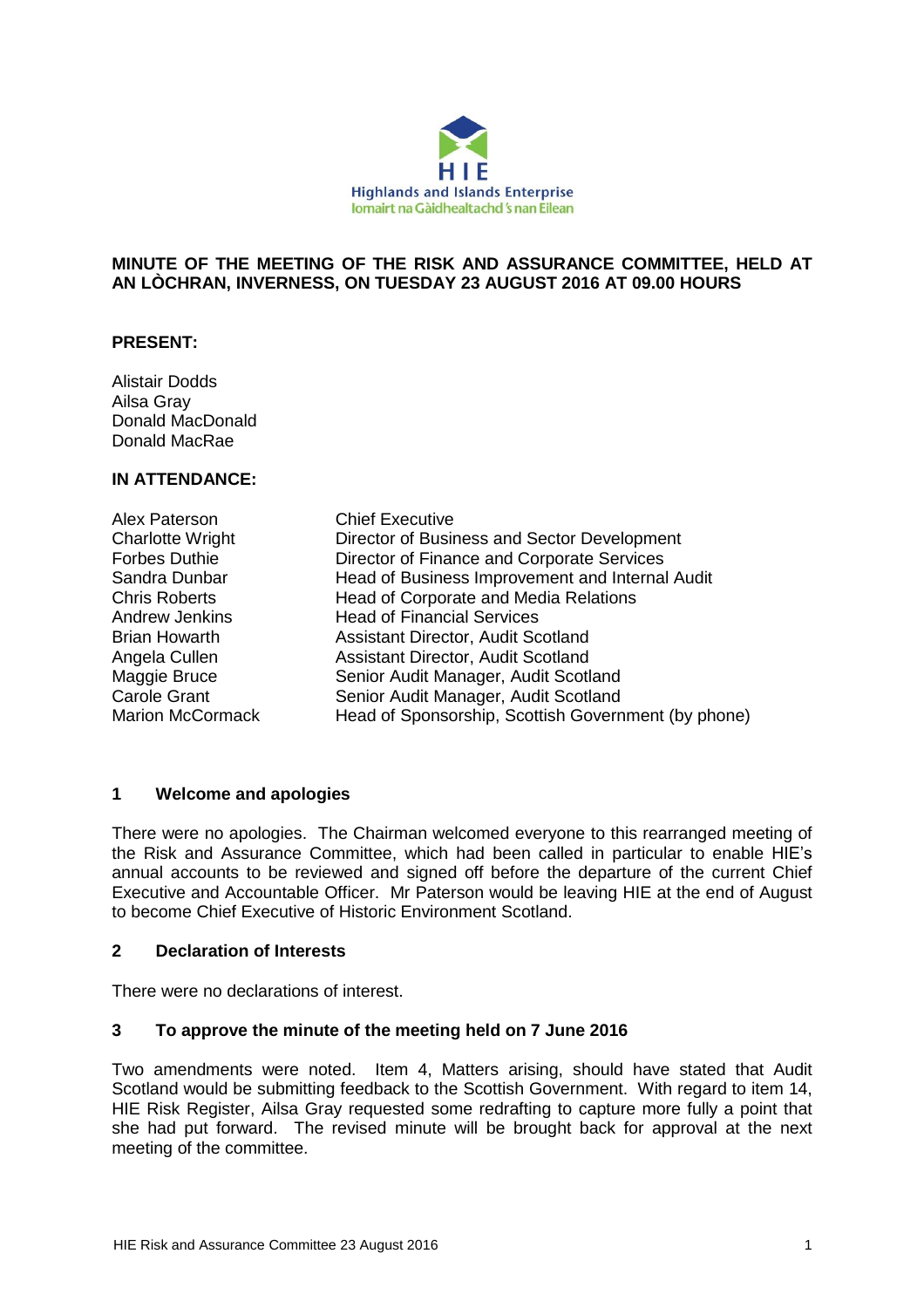

#### **MINUTE OF THE MEETING OF THE RISK AND ASSURANCE COMMITTEE, HELD AT AN LÒCHRAN, INVERNESS, ON TUESDAY 23 AUGUST 2016 AT 09.00 HOURS**

# **PRESENT:**

Alistair Dodds Ailsa Gray Donald MacDonald Donald MacRae

#### **IN ATTENDANCE:**

| Alex Paterson           | <b>Chief Executive</b>                              |
|-------------------------|-----------------------------------------------------|
| <b>Charlotte Wright</b> | Director of Business and Sector Development         |
| <b>Forbes Duthie</b>    | Director of Finance and Corporate Services          |
| Sandra Dunbar           | Head of Business Improvement and Internal Audit     |
| <b>Chris Roberts</b>    | Head of Corporate and Media Relations               |
| <b>Andrew Jenkins</b>   | <b>Head of Financial Services</b>                   |
| <b>Brian Howarth</b>    | Assistant Director, Audit Scotland                  |
| Angela Cullen           | Assistant Director, Audit Scotland                  |
| Maggie Bruce            | Senior Audit Manager, Audit Scotland                |
| <b>Carole Grant</b>     | Senior Audit Manager, Audit Scotland                |
| <b>Marion McCormack</b> | Head of Sponsorship, Scottish Government (by phone) |

# **1 Welcome and apologies**

There were no apologies. The Chairman welcomed everyone to this rearranged meeting of the Risk and Assurance Committee, which had been called in particular to enable HIE's annual accounts to be reviewed and signed off before the departure of the current Chief Executive and Accountable Officer. Mr Paterson would be leaving HIE at the end of August to become Chief Executive of Historic Environment Scotland.

#### **2 Declaration of Interests**

There were no declarations of interest.

# **3 To approve the minute of the meeting held on 7 June 2016**

Two amendments were noted. Item 4, Matters arising, should have stated that Audit Scotland would be submitting feedback to the Scottish Government. With regard to item 14, HIE Risk Register, Ailsa Gray requested some redrafting to capture more fully a point that she had put forward. The revised minute will be brought back for approval at the next meeting of the committee.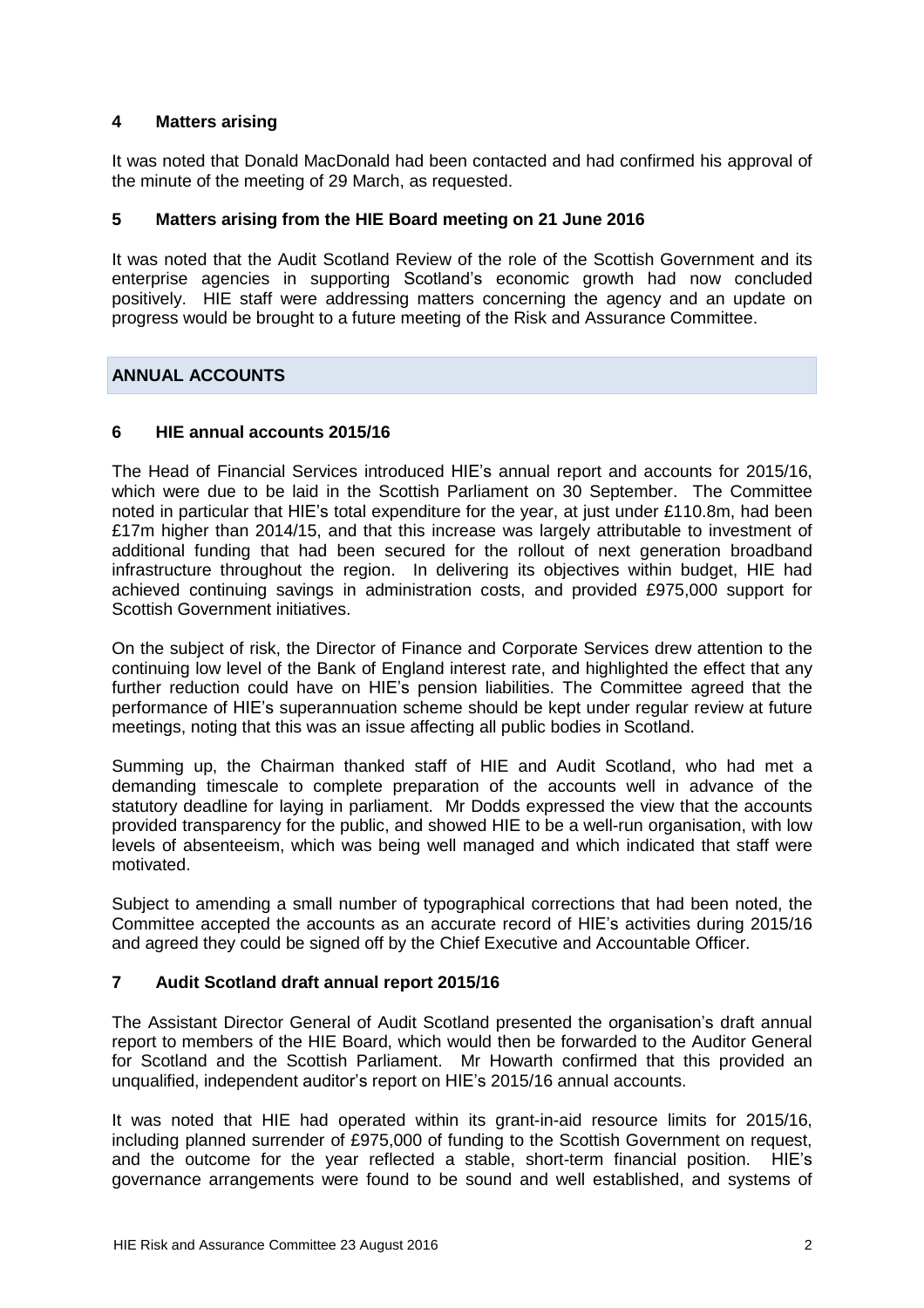# **4 Matters arising**

It was noted that Donald MacDonald had been contacted and had confirmed his approval of the minute of the meeting of 29 March, as requested.

# **5 Matters arising from the HIE Board meeting on 21 June 2016**

It was noted that the Audit Scotland Review of the role of the Scottish Government and its enterprise agencies in supporting Scotland's economic growth had now concluded positively. HIE staff were addressing matters concerning the agency and an update on progress would be brought to a future meeting of the Risk and Assurance Committee.

# **ANNUAL ACCOUNTS**

# **6 HIE annual accounts 2015/16**

The Head of Financial Services introduced HIE's annual report and accounts for 2015/16, which were due to be laid in the Scottish Parliament on 30 September. The Committee noted in particular that HIE's total expenditure for the year, at just under £110.8m, had been £17m higher than 2014/15, and that this increase was largely attributable to investment of additional funding that had been secured for the rollout of next generation broadband infrastructure throughout the region. In delivering its objectives within budget, HIE had achieved continuing savings in administration costs, and provided £975,000 support for Scottish Government initiatives.

On the subject of risk, the Director of Finance and Corporate Services drew attention to the continuing low level of the Bank of England interest rate, and highlighted the effect that any further reduction could have on HIE's pension liabilities. The Committee agreed that the performance of HIE's superannuation scheme should be kept under regular review at future meetings, noting that this was an issue affecting all public bodies in Scotland.

Summing up, the Chairman thanked staff of HIE and Audit Scotland, who had met a demanding timescale to complete preparation of the accounts well in advance of the statutory deadline for laying in parliament. Mr Dodds expressed the view that the accounts provided transparency for the public, and showed HIE to be a well-run organisation, with low levels of absenteeism, which was being well managed and which indicated that staff were motivated.

Subject to amending a small number of typographical corrections that had been noted, the Committee accepted the accounts as an accurate record of HIE's activities during 2015/16 and agreed they could be signed off by the Chief Executive and Accountable Officer.

# **7 Audit Scotland draft annual report 2015/16**

The Assistant Director General of Audit Scotland presented the organisation's draft annual report to members of the HIE Board, which would then be forwarded to the Auditor General for Scotland and the Scottish Parliament. Mr Howarth confirmed that this provided an unqualified, independent auditor's report on HIE's 2015/16 annual accounts.

It was noted that HIE had operated within its grant-in-aid resource limits for 2015/16, including planned surrender of £975,000 of funding to the Scottish Government on request, and the outcome for the year reflected a stable, short-term financial position. HIE's governance arrangements were found to be sound and well established, and systems of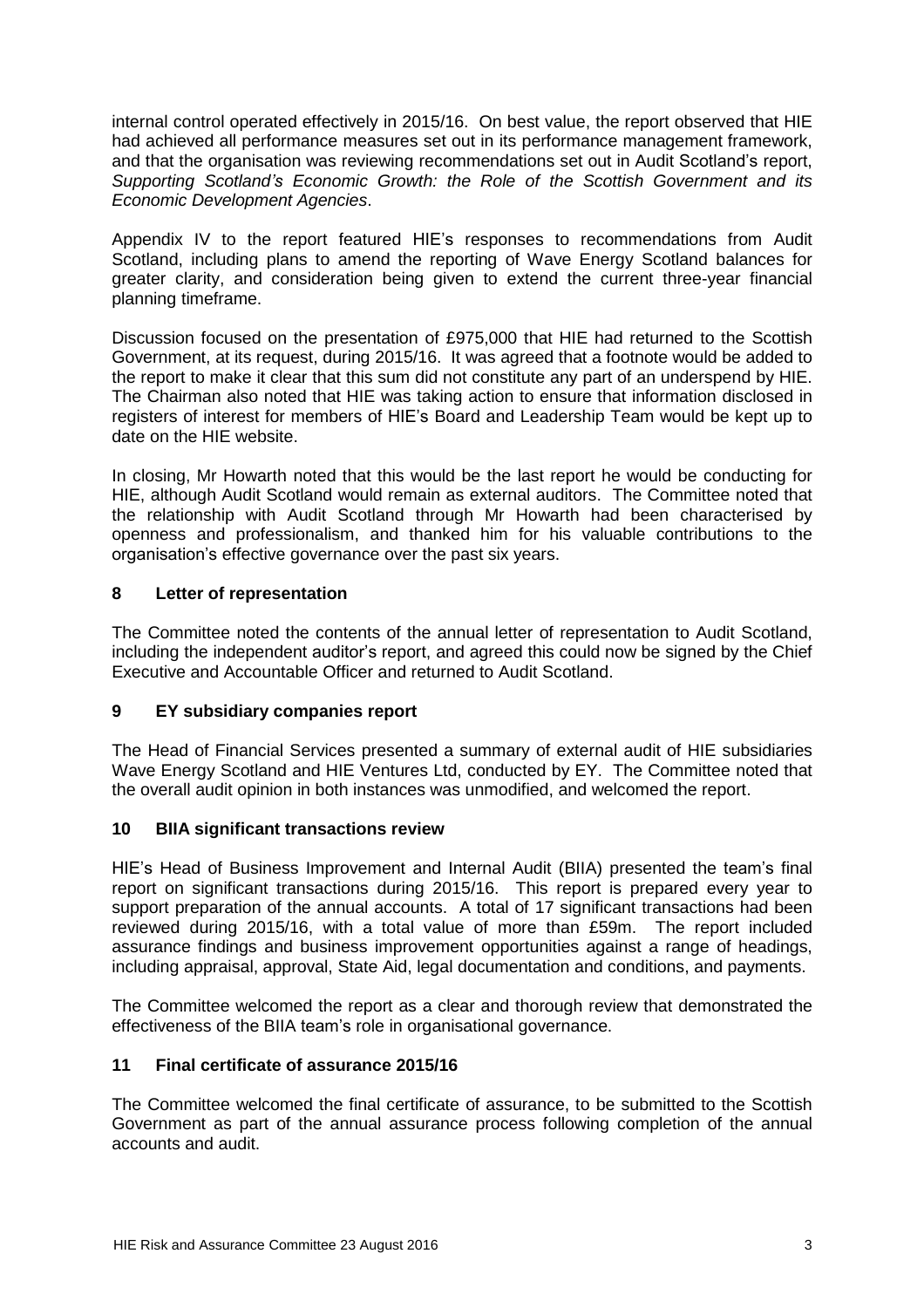internal control operated effectively in 2015/16. On best value, the report observed that HIE had achieved all performance measures set out in its performance management framework, and that the organisation was reviewing recommendations set out in Audit Scotland's report, *Supporting Scotland's Economic Growth: the Role of the Scottish Government and its Economic Development Agencies*.

Appendix IV to the report featured HIE's responses to recommendations from Audit Scotland, including plans to amend the reporting of Wave Energy Scotland balances for greater clarity, and consideration being given to extend the current three-year financial planning timeframe.

Discussion focused on the presentation of £975,000 that HIE had returned to the Scottish Government, at its request, during 2015/16. It was agreed that a footnote would be added to the report to make it clear that this sum did not constitute any part of an underspend by HIE. The Chairman also noted that HIE was taking action to ensure that information disclosed in registers of interest for members of HIE's Board and Leadership Team would be kept up to date on the HIE website.

In closing, Mr Howarth noted that this would be the last report he would be conducting for HIE, although Audit Scotland would remain as external auditors. The Committee noted that the relationship with Audit Scotland through Mr Howarth had been characterised by openness and professionalism, and thanked him for his valuable contributions to the organisation's effective governance over the past six years.

# **8 Letter of representation**

The Committee noted the contents of the annual letter of representation to Audit Scotland, including the independent auditor's report, and agreed this could now be signed by the Chief Executive and Accountable Officer and returned to Audit Scotland.

# **9 EY subsidiary companies report**

The Head of Financial Services presented a summary of external audit of HIE subsidiaries Wave Energy Scotland and HIE Ventures Ltd, conducted by EY. The Committee noted that the overall audit opinion in both instances was unmodified, and welcomed the report.

# **10 BIIA significant transactions review**

HIE's Head of Business Improvement and Internal Audit (BIIA) presented the team's final report on significant transactions during 2015/16. This report is prepared every year to support preparation of the annual accounts. A total of 17 significant transactions had been reviewed during 2015/16, with a total value of more than £59m. The report included assurance findings and business improvement opportunities against a range of headings, including appraisal, approval, State Aid, legal documentation and conditions, and payments.

The Committee welcomed the report as a clear and thorough review that demonstrated the effectiveness of the BIIA team's role in organisational governance.

# **11 Final certificate of assurance 2015/16**

The Committee welcomed the final certificate of assurance, to be submitted to the Scottish Government as part of the annual assurance process following completion of the annual accounts and audit.